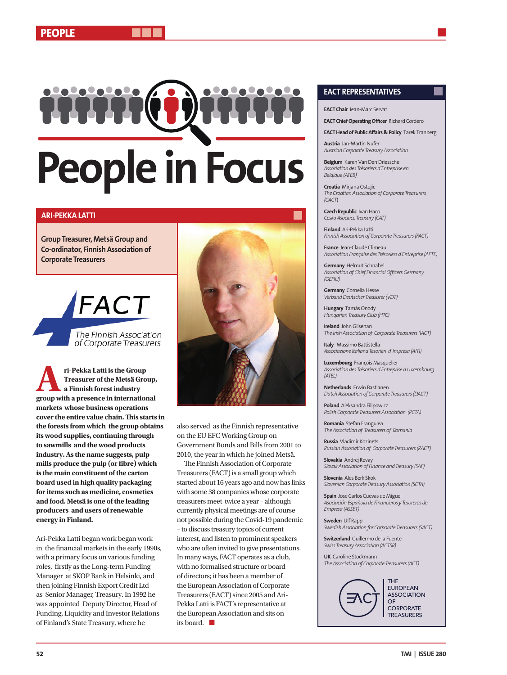# **People in Focus**

# **ARI-PEKKA LATTI**

**Group Treasurer, Metsä Group and Co-ordinator, Finnish Association of Corporate Treasurers** 

> The Finnish Association of Corporate Treasurers

FACT

**Ari-Pekka Latti is the Group <br>
Treasurer of the Metsä Group,<br>
a Finnish forest industry<br>
group with a presence in international Treasurer of the Metsä Group, a Finnish forest industry markets whose business operations cover the entire value chain. This starts in the forests from which the group obtains its wood supplies, continuing through to sawmills and the wood products industry. As the name suggests, pulp mills produce the pulp (or fibre) which is the main constituent of the carton board used in high quality packaging for items such as medicine, cosmetics and food. Metsä is one of the leading producers and users of renewable energy in Finland.**

Ari-Pekka Latti began work began work in the financial markets in the early 1990s, with a primary focus on various funding roles, firstly as the Long-term Funding Manager at SKOP Bank in Helsinki, and then joining Finnish Export Credit Ltd as Senior Manager, Treasury. In 1992 he was appointed Deputy Director, Head of Funding, Liquidity and Investor Relations of Finland's State Treasury, where he



also served as the Finnish representative on the EU EFC Working Group on Government Bonds and Bills from 2001 to 2010, the year in which he joined Metsä.

The Finnish Association of Corporate Treasurers (FACT) is a small group which started about 16 years ago and now has links with some 38 companies whose corporate treasurers meet twice a year – although currently physical meetings are of course not possible during the Covid-19 pandemic – to discuss treasury topics of current interest, and listen to prominent speakers who are often invited to give presentations. In many ways, FACT operates as a club, with no formalised structure or board of directors; it has been a member of the European Association of Corporate Treasurers (EACT) since 2005 and Ari-Pekka Latti is FACT's representative at the European Association and sits on its board.  $\blacksquare$ 

## **EACT REPRESENTATIVES**

**EACT Chair** Jean-Marc Servat

**EACT Chief Operating Officer** Richard Cordero

**EACT Head of Public Affairs & Policy** Tarek Tranberg

**Austria** Jan-Martin Nufer *Austrian Corporate Treasury Association*

**Belgium** Karen Van Den Driessche *Association des Trésoriers d'Entreprise en Belgique (ATEB)*

**Croatia** Mirjana Ostojic *The Croatian Association of Corporate Treasurers (CACT*)

**Czech Republic** Ivan Haco *Ceska Asociace Treasury (CAT)*

**Finland** Ari-Pekka Latti *Finnish Association of Corporate Treasurers (FACT)*

**France** Jean-Claude Climeau *Association Française des Trésoriers d'Entreprise (AFTE)*

**Germany** Helmut Schnabel *Association of Chief Financial Officers Germany (GEFIU)*

**Germany** Cornelia Hesse *Verband Deutscher Treasurer (VDT)*

**Hungary** Tamás Onody *Hungarian Treasury Club (HTC)*

**Ireland** John Gilsenan *The Irish Association of Corporate Treasurers (IACT)*

**Italy** Massimo Battistella *Associazione Italiana Tesorieri d' Impresa (AITI)*

**Luxembourg** François Masquelier *Association des Trésoriers d Entreprise à Luxembourg (ATEL)*

**Netherlands** Erwin Bastianen *Dutch Association of Corporate Treasurers (DACT)*

**Poland** Aleksandra Filipowicz *Polish Corporate Treasurers Association (PCTA)*

**Romania** Stefan Frangulea *The Association of Treasurers of Romania*

**Russia** Vladimir Kozinets *Russian Association of Corporate Treasurers (RACT)*

**Slovakia** Andrej Revay *Slovak Association of Finance and Treasury (SAF)*

**Slovenia** Ales Berk Skok *Slovenian Corporate Treasury Association (SCTA)*

**Spain** Jose Carlos Cuevas de Miguel *Asociación Española de Financieros y Tesoreros de Empresa (ASSET)*

**Sweden** Ulf Rapp *Swedish Association for Corporate Treasurers (SACT)*

**Switzerland** Guillermo de la Fuente *Swiss Treasury Association (ACTSR)*

**UK** Caroline Stockmann *The Association of Corporate Treasurers (ACT)*



**EUROPEAN ASSOCIATION** OF **CORPORATE** TREASURERS